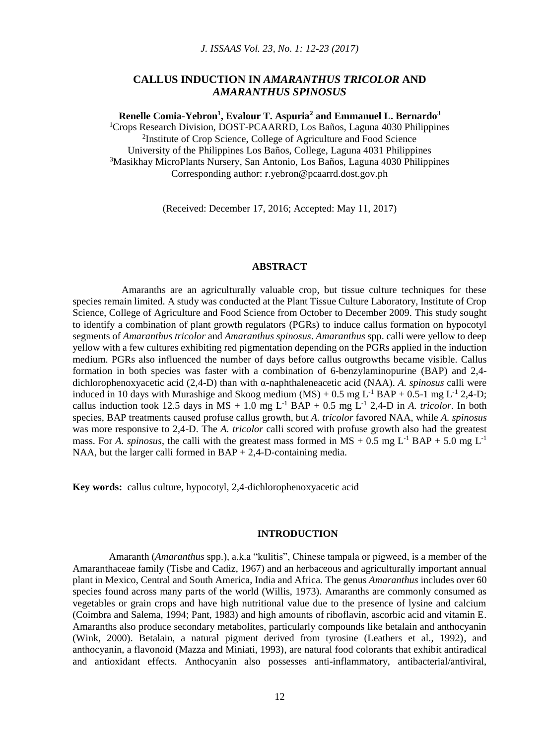*J. ISSAAS Vol. 23, No. 1: 12-23 (2017)*

# **CALLUS INDUCTION IN** *AMARANTHUS TRICOLOR* **AND** *AMARANTHUS SPINOSUS*

**Renelle Comia-Yebron<sup>1</sup> , Evalour T. Aspuria<sup>2</sup> and Emmanuel L. Bernardo<sup>3</sup>** <sup>1</sup>Crops Research Division, DOST-PCAARRD, Los Baños, Laguna 4030 Philippines

<sup>2</sup>Institute of Crop Science, College of Agriculture and Food Science University of the Philippines Los Baños, College, Laguna 4031 Philippines <sup>3</sup>Masikhay MicroPlants Nursery, San Antonio, Los Baños, Laguna 4030 Philippines Corresponding author: r.yebron@pcaarrd.dost.gov.ph

(Received: December 17, 2016; Accepted: May 11, 2017)

# **ABSTRACT**

 Amaranths are an agriculturally valuable crop, but tissue culture techniques for these species remain limited. A study was conducted at the Plant Tissue Culture Laboratory, Institute of Crop Science, College of Agriculture and Food Science from October to December 2009. This study sought to identify a combination of plant growth regulators (PGRs) to induce callus formation on hypocotyl segments of *Amaranthus tricolor* and *Amaranthus spinosus*. *Amaranthus* spp. calli were yellow to deep yellow with a few cultures exhibiting red pigmentation depending on the PGRs applied in the induction medium. PGRs also influenced the number of days before callus outgrowths became visible. Callus formation in both species was faster with a combination of 6-benzylaminopurine (BAP) and 2,4 dichlorophenoxyacetic acid (2,4-D) than with α-naphthaleneacetic acid (NAA). *A. spinosus* calli were induced in 10 days with Murashige and Skoog medium  $(MS) + 0.5$  mg  $L^{-1}$  BAP + 0.5-1 mg  $L^{-1}$  2,4-D; callus induction took 12.5 days in  $MS + 1.0$  mg  $L^{-1}$  BAP + 0.5 mg  $L^{-1}$  2,4-D in *A. tricolor*. In both species, BAP treatments caused profuse callus growth, but *A. tricolor* favored NAA, while *A. spinosus* was more responsive to 2,4-D. The *A. tricolor* calli scored with profuse growth also had the greatest mass. For *A. spinosus*, the calli with the greatest mass formed in  $MS + 0.5$  mg L<sup>-1</sup> BAP + 5.0 mg L<sup>-1</sup> NAA, but the larger calli formed in BAP + 2,4-D-containing media.

**Key words:** callus culture, hypocotyl, 2,4-dichlorophenoxyacetic acid

### **INTRODUCTION**

Amaranth (*Amaranthus* spp.), a.k.a "kulitis", Chinese tampala or pigweed, is a member of the Amaranthaceae family (Tisbe and Cadiz, 1967) and an herbaceous and agriculturally important annual plant in Mexico, Central and South America, India and Africa. The genus *Amaranthus* includes over 60 species found across many parts of the world (Willis, 1973). Amaranths are commonly consumed as vegetables or grain crops and have high nutritional value due to the presence of lysine and calcium (Coimbra and Salema, 1994; Pant, 1983) and high amounts of riboflavin, ascorbic acid and vitamin E. Amaranths also produce secondary metabolites, particularly compounds like betalain and anthocyanin (Wink, 2000). Betalain, a natural pigment derived from tyrosine (Leathers et al., 1992), and anthocyanin, a flavonoid (Mazza and Miniati, 1993), are natural food colorants that exhibit antiradical and antioxidant effects. Anthocyanin also possesses anti-inflammatory, antibacterial/antiviral,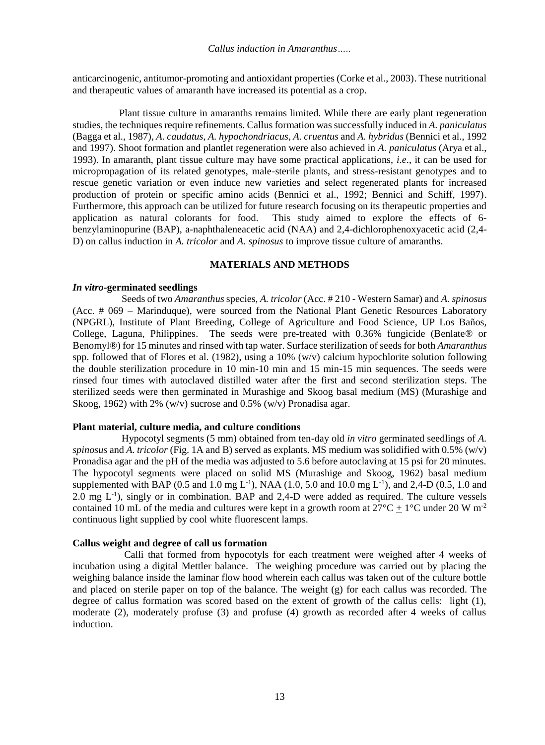anticarcinogenic, antitumor-promoting and antioxidant properties (Corke et al., 2003). These nutritional and therapeutic values of amaranth have increased its potential as a crop.

 Plant tissue culture in amaranths remains limited. While there are early plant regeneration studies, the techniques require refinements. Callus formation was successfully induced in *A. paniculatus* (Bagga et al., 1987), *A. caudatus*, *A. hypochondriacus*, *A. cruentus* and *A. hybridus* (Bennici et al., 1992 and 1997). Shoot formation and plantlet regeneration were also achieved in *A. paniculatus* (Arya et al., 1993). In amaranth, plant tissue culture may have some practical applications, *i.e*., it can be used for micropropagation of its related genotypes, male-sterile plants, and stress-resistant genotypes and to rescue genetic variation or even induce new varieties and select regenerated plants for increased production of protein or specific amino acids (Bennici et al., 1992; Bennici and Schiff, 1997). Furthermore, this approach can be utilized for future research focusing on its therapeutic properties and application as natural colorants for food. This study aimed to explore the effects of 6 benzylaminopurine (BAP), a-naphthaleneacetic acid (NAA) and 2,4-dichlorophenoxyacetic acid (2,4- D) on callus induction in *A. tricolor* and *A. spinosus* to improve tissue culture of amaranths.

## **MATERIALS AND METHODS**

#### *In vitro***-germinated seedlings**

 Seeds of two *Amaranthus* species, *A. tricolor* (Acc. # 210 - Western Samar) and *A. spinosus* (Acc. # 069 – Marinduque), were sourced from the National Plant Genetic Resources Laboratory (NPGRL), Institute of Plant Breeding, College of Agriculture and Food Science, UP Los Baños, College, Laguna, Philippines. The seeds were pre-treated with 0.36% fungicide (Benlate® or Benomyl®) for 15 minutes and rinsed with tap water. Surface sterilization of seeds for both *Amaranthus* spp. followed that of Flores et al. (1982), using a 10% (w/v) calcium hypochlorite solution following the double sterilization procedure in 10 min-10 min and 15 min-15 min sequences. The seeds were rinsed four times with autoclaved distilled water after the first and second sterilization steps. The sterilized seeds were then germinated in Murashige and Skoog basal medium (MS) (Murashige and Skoog, 1962) with 2% (w/v) sucrose and 0.5% (w/v) Pronadisa agar.

#### **Plant material, culture media, and culture conditions**

Hypocotyl segments (5 mm) obtained from ten-day old *in vitro* germinated seedlings of *A. spinosus* and *A. tricolor* (Fig. 1A and B) served as explants. MS medium was solidified with 0.5% (w/v) Pronadisa agar and the pH of the media was adjusted to 5.6 before autoclaving at 15 psi for 20 minutes. The hypocotyl segments were placed on solid MS (Murashige and Skoog, 1962) basal medium supplemented with BAP (0.5 and 1.0 mg L<sup>-1</sup>), NAA (1.0, 5.0 and 10.0 mg L<sup>-1</sup>), and 2,4-D (0.5, 1.0 and 2.0 mg L<sup>-1</sup>), singly or in combination. BAP and 2,4-D were added as required. The culture vessels contained 10 mL of the media and cultures were kept in a growth room at  $27^{\circ}$ C  $\pm$  1°C under 20 W m<sup>-2</sup> continuous light supplied by cool white fluorescent lamps.

## **Callus weight and degree of call us formation**

Calli that formed from hypocotyls for each treatment were weighed after 4 weeks of incubation using a digital Mettler balance. The weighing procedure was carried out by placing the weighing balance inside the laminar flow hood wherein each callus was taken out of the culture bottle and placed on sterile paper on top of the balance. The weight (g) for each callus was recorded. The degree of callus formation was scored based on the extent of growth of the callus cells: light (1), moderate (2), moderately profuse (3) and profuse (4) growth as recorded after 4 weeks of callus induction.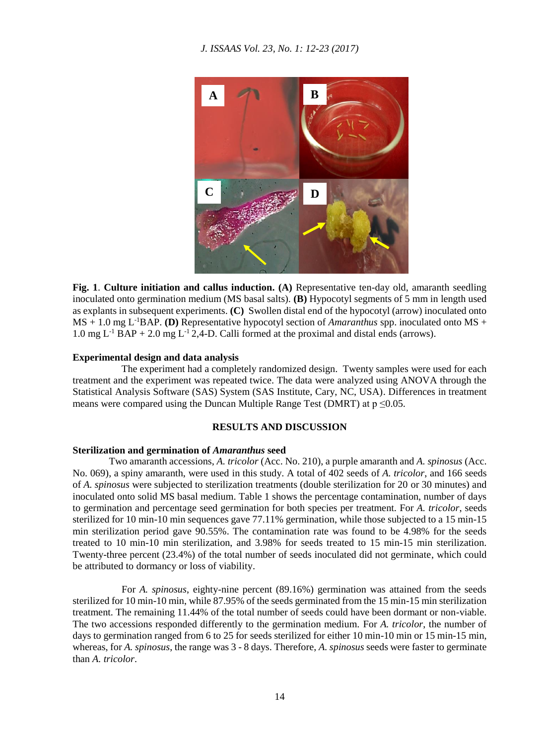*J. ISSAAS Vol. 23, No. 1: 12-23 (2017)*



**Fig. 1**. **Culture initiation and callus induction. (A)** Representative ten-day old, amaranth seedling inoculated onto germination medium (MS basal salts). **(B)** Hypocotyl segments of 5 mm in length used as explants in subsequent experiments. **(C)** Swollen distal end of the hypocotyl (arrow) inoculated onto MS + 1.0 mg L-1BAP. **(D)** Representative hypocotyl section of *Amaranthus* spp. inoculated onto MS + 1.0 mg  $L^{-1}$  BAP + 2.0 mg  $L^{-1}$  2,4-D. Calli formed at the proximal and distal ends (arrows).

### **Experimental design and data analysis**

 The experiment had a completely randomized design. Twenty samples were used for each treatment and the experiment was repeated twice. The data were analyzed using ANOVA through the Statistical Analysis Software (SAS) System (SAS Institute, Cary, NC, USA). Differences in treatment means were compared using the Duncan Multiple Range Test (DMRT) at  $p \le 0.05$ .

## **RESULTS AND DISCUSSION**

#### **Sterilization and germination of** *Amaranthus* **seed**

Two amaranth accessions, *A. tricolor* (Acc. No. 210), a purple amaranth and *A. spinosus* (Acc. No. 069), a spiny amaranth, were used in this study. A total of 402 seeds of *A. tricolor*, and 166 seeds of *A. spinosus* were subjected to sterilization treatments (double sterilization for 20 or 30 minutes) and inoculated onto solid MS basal medium. Table 1 shows the percentage contamination, number of days to germination and percentage seed germination for both species per treatment. For *A. tricolor*, seeds sterilized for 10 min-10 min sequences gave 77.11% germination, while those subjected to a 15 min-15 min sterilization period gave 90.55%. The contamination rate was found to be 4.98% for the seeds treated to 10 min-10 min sterilization, and 3.98% for seeds treated to 15 min-15 min sterilization. Twenty-three percent (23.4%) of the total number of seeds inoculated did not germinate, which could be attributed to dormancy or loss of viability.

 For *A. spinosus*, eighty-nine percent (89.16%) germination was attained from the seeds sterilized for 10 min-10 min, while 87.95% of the seeds germinated from the 15 min-15 min sterilization treatment. The remaining 11.44% of the total number of seeds could have been dormant or non-viable. The two accessions responded differently to the germination medium. For *A. tricolor*, the number of days to germination ranged from 6 to 25 for seeds sterilized for either 10 min-10 min or 15 min-15 min, whereas, for *A. spinosus*, the range was 3 - 8 days. Therefore, *A. spinosus* seeds were faster to germinate than *A. tricolor*.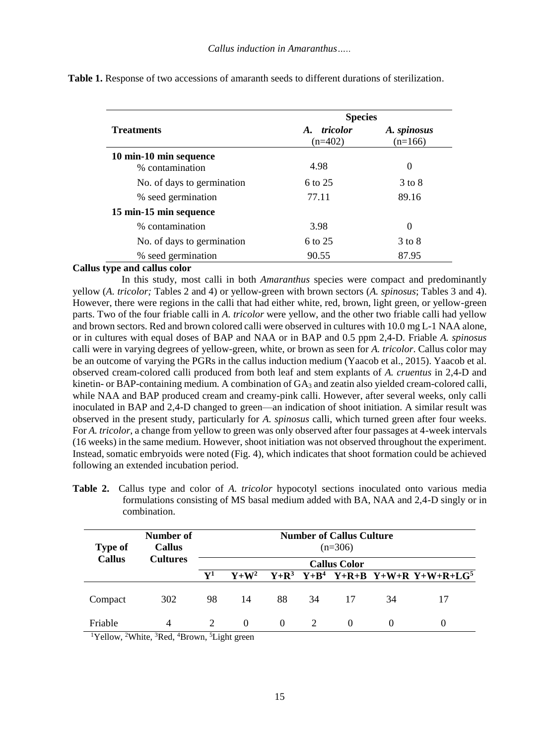|                            | <b>Species</b>                          |                          |  |  |
|----------------------------|-----------------------------------------|--------------------------|--|--|
| <b>Treatments</b>          | tricolor<br>$\mathbf{A}$ .<br>$(n=402)$ | A. spinosus<br>$(n=166)$ |  |  |
| 10 min-10 min sequence     |                                         |                          |  |  |
| % contamination            | 4.98                                    | 0                        |  |  |
| No. of days to germination | 6 to 25                                 | $3$ to $8$               |  |  |
| % seed germination         | 77.11                                   | 89.16                    |  |  |
| 15 min-15 min sequence     |                                         |                          |  |  |
| % contamination            | 3.98                                    | 0                        |  |  |
| No. of days to germination | 6 to 25                                 | 3 to 8                   |  |  |
| % seed germination         | 90.55                                   | 87.95                    |  |  |

**Table 1.** Response of two accessions of amaranth seeds to different durations of sterilization.

## **Callus type and callus color**

 In this study, most calli in both *Amaranthus* species were compact and predominantly yellow (*A. tricolor;* Tables 2 and 4) or yellow-green with brown sectors (*A. spinosus*; Tables 3 and 4). However, there were regions in the calli that had either white, red, brown, light green, or yellow-green parts. Two of the four friable calli in *A. tricolor* were yellow, and the other two friable calli had yellow and brown sectors. Red and brown colored calli were observed in cultures with 10.0 mg L-1 NAA alone, or in cultures with equal doses of BAP and NAA or in BAP and 0.5 ppm 2,4-D. Friable *A. spinosus* calli were in varying degrees of yellow-green, white, or brown as seen for *A. tricolor*. Callus color may be an outcome of varying the PGRs in the callus induction medium (Yaacob et al., 2015). Yaacob et al. observed cream-colored calli produced from both leaf and stem explants of *A. cruentus* in 2,4-D and kinetin- or BAP-containing medium. A combination of  $GA_3$  and zeatin also yielded cream-colored calli, while NAA and BAP produced cream and creamy-pink calli. However, after several weeks, only calli inoculated in BAP and 2,4-D changed to green—an indication of shoot initiation. A similar result was observed in the present study, particularly for *A. spinosus* calli, which turned green after four weeks. For *A. tricolor*, a change from yellow to green was only observed after four passages at 4-week intervals (16 weeks) in the same medium. However, shoot initiation was not observed throughout the experiment. Instead, somatic embryoids were noted (Fig. 4), which indicates that shoot formation could be achieved following an extended incubation period.

**Table 2.** Callus type and color of *A. tricolor* hypocotyl sections inoculated onto various media formulations consisting of MS basal medium added with BA, NAA and 2,4-D singly or in combination.

| <b>Type of</b>                                          | Number of<br><b>Callus</b> |                             |          |          |    | <b>Number of Callus Culture</b><br>$(n=306)$ |                   |                                              |
|---------------------------------------------------------|----------------------------|-----------------------------|----------|----------|----|----------------------------------------------|-------------------|----------------------------------------------|
| <b>Callus</b><br><b>Cultures</b><br><b>Callus Color</b> |                            |                             |          |          |    |                                              |                   |                                              |
|                                                         |                            | ${\bf V^1}$                 | $V+W^2$  |          |    |                                              |                   | $Y+R^3$ $Y+B^4$ $Y+R+B$ $Y+W+R$ $Y+W+R+LG^5$ |
| Compact                                                 | 302                        | 98                          | 14       | 88       | 34 | 17                                           | 34                |                                              |
| Friable                                                 | 4                          | $\mathcal{D}_{\mathcal{L}}$ | $\Omega$ | $\Omega$ |    | $\Omega$                                     | $\mathbf{\Omega}$ | 0                                            |

<sup>1</sup>Yellow, <sup>2</sup>White, <sup>3</sup>Red, <sup>4</sup>Brown, <sup>5</sup>Light green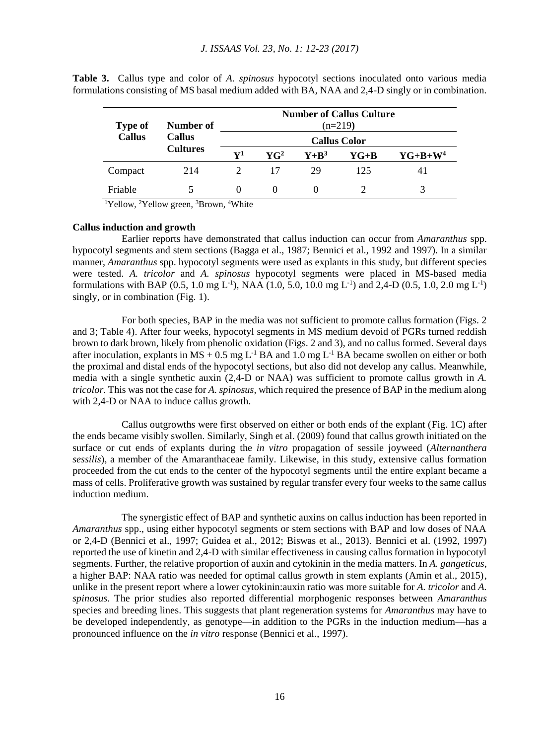| <b>Type of</b> | Number of<br><b>Callus</b><br><b>Cultures</b> | <b>Number of Callus Culture</b><br>$(n=219)$<br><b>Callus Color</b> |                             |           |        |            |  |
|----------------|-----------------------------------------------|---------------------------------------------------------------------|-----------------------------|-----------|--------|------------|--|
| <b>Callus</b>  |                                               |                                                                     |                             |           |        |            |  |
|                |                                               | $\mathbf{V}^1$                                                      | $\mathbf{Y}$ $\mathbf{G}^2$ | $Y + R^3$ | $YG+B$ | $YG+B+W^4$ |  |
| Compact        | 214                                           |                                                                     | 17                          | 29        | 125    | 41         |  |
| Friable        |                                               | $\Omega$                                                            |                             |           |        |            |  |

**Table 3.** Callus type and color of *A. spinosus* hypocotyl sections inoculated onto various media formulations consisting of MS basal medium added with BA, NAA and 2,4-D singly or in combination.

<sup>1</sup>Yellow, <sup>2</sup>Yellow green, <sup>3</sup>Brown, <sup>4</sup>White

#### **Callus induction and growth**

Earlier reports have demonstrated that callus induction can occur from *Amaranthus* spp. hypocotyl segments and stem sections (Bagga et al., 1987; Bennici et al., 1992 and 1997). In a similar manner, *Amaranthus* spp. hypocotyl segments were used as explants in this study, but different species were tested. *A. tricolor* and *A. spinosus* hypocotyl segments were placed in MS-based media formulations with BAP (0.5, 1.0 mg L<sup>-1</sup>), NAA (1.0, 5.0, 10.0 mg L<sup>-1</sup>) and 2,4-D (0.5, 1.0, 2.0 mg L<sup>-1</sup>) singly, or in combination (Fig. 1).

 For both species, BAP in the media was not sufficient to promote callus formation (Figs. 2 and 3; Table 4). After four weeks, hypocotyl segments in MS medium devoid of PGRs turned reddish brown to dark brown, likely from phenolic oxidation (Figs. 2 and 3), and no callus formed. Several days after inoculation, explants in  $MS + 0.5$  mg L<sup>-1</sup> BA and 1.0 mg L<sup>-1</sup> BA became swollen on either or both the proximal and distal ends of the hypocotyl sections, but also did not develop any callus. Meanwhile, media with a single synthetic auxin (2,4-D or NAA) was sufficient to promote callus growth in *A. tricolor*. This was not the case for *A. spinosus,* which required the presence of BAP in the medium along with 2,4-D or NAA to induce callus growth.

 Callus outgrowths were first observed on either or both ends of the explant (Fig. 1C) after the ends became visibly swollen. Similarly, Singh et al. (2009) found that callus growth initiated on the surface or cut ends of explants during the *in vitro* propagation of sessile joyweed (*Alternanthera sessilis*), a member of the Amaranthaceae family. Likewise, in this study, extensive callus formation proceeded from the cut ends to the center of the hypocotyl segments until the entire explant became a mass of cells. Proliferative growth was sustained by regular transfer every four weeks to the same callus induction medium.

 The synergistic effect of BAP and synthetic auxins on callus induction has been reported in *Amaranthus* spp., using either hypocotyl segments or stem sections with BAP and low doses of NAA or 2,4-D (Bennici et al., 1997; Guidea et al., 2012; Biswas et al., 2013). Bennici et al. (1992, 1997) reported the use of kinetin and 2,4-D with similar effectiveness in causing callus formation in hypocotyl segments. Further, the relative proportion of auxin and cytokinin in the media matters. In *A. gangeticus*, a higher BAP: NAA ratio was needed for optimal callus growth in stem explants (Amin et al., 2015), unlike in the present report where a lower cytokinin:auxin ratio was more suitable for *A. tricolor* and *A. spinosus*. The prior studies also reported differential morphogenic responses between *Amaranthus* species and breeding lines. This suggests that plant regeneration systems for *Amaranthus* may have to be developed independently, as genotype—in addition to the PGRs in the induction medium—has a pronounced influence on the *in vitro* response (Bennici et al., 1997).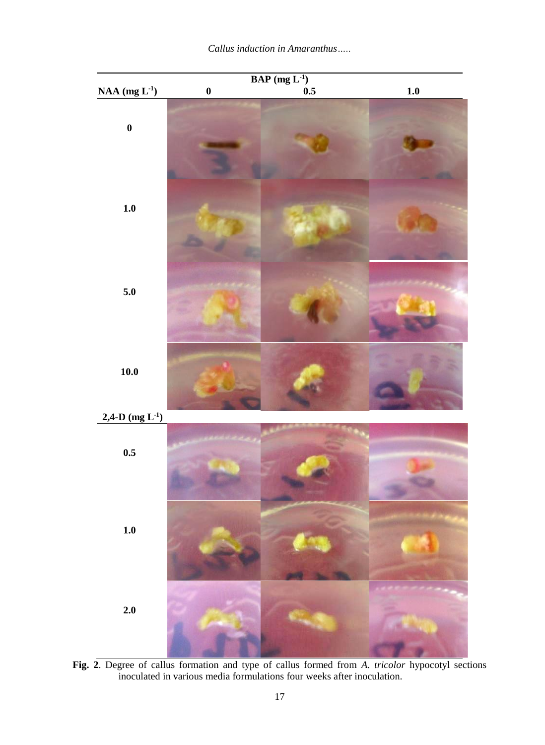

**Fig. 2**. Degree of callus formation and type of callus formed from *A. tricolor* hypocotyl sections inoculated in various media formulations four weeks after inoculation.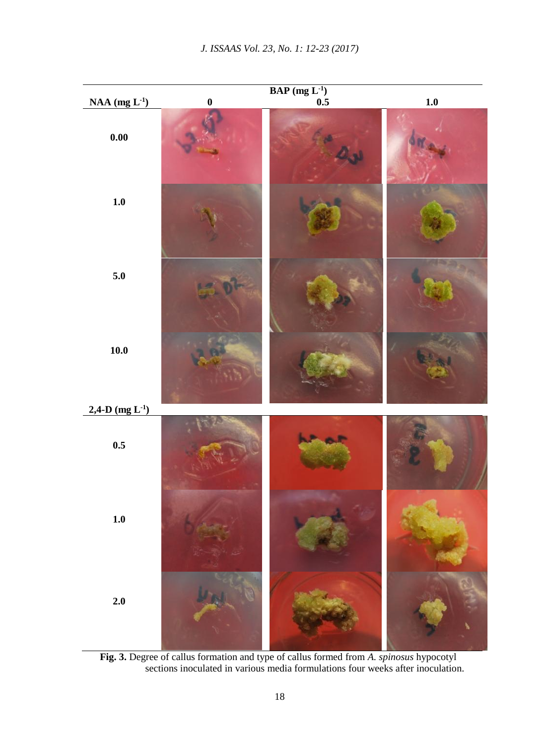

**Fig. 3.** Degree of callus formation and type of callus formed from *A. spinosus* hypocotyl sections inoculated in various media formulations four weeks after inoculation.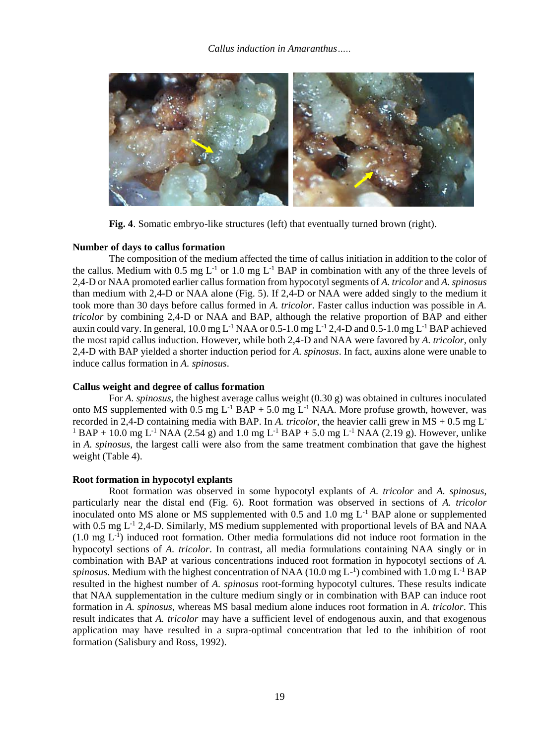

**Fig. 4**. Somatic embryo-like structures (left) that eventually turned brown (right).

## **Number of days to callus formation**

The composition of the medium affected the time of callus initiation in addition to the color of the callus. Medium with 0.5 mg  $L^{-1}$  or 1.0 mg  $L^{-1}$  BAP in combination with any of the three levels of 2,4-D or NAA promoted earlier callus formation from hypocotyl segments of *A. tricolor* and *A. spinosus* than medium with 2,4-D or NAA alone (Fig. 5). If 2,4-D or NAA were added singly to the medium it took more than 30 days before callus formed in *A. tricolor*. Faster callus induction was possible in *A. tricolor* by combining 2,4-D or NAA and BAP, although the relative proportion of BAP and either auxin could vary. In general,  $10.0$  mg L<sup>-1</sup> NAA or  $0.5$ -1.0 mg L<sup>-1</sup> 2,4-D and  $0.5$ -1.0 mg L<sup>-1</sup> BAP achieved the most rapid callus induction. However, while both 2,4-D and NAA were favored by *A. tricolor*, only 2,4-D with BAP yielded a shorter induction period for *A. spinosus*. In fact, auxins alone were unable to induce callus formation in *A. spinosus*.

#### **Callus weight and degree of callus formation**

For *A. spinosus*, the highest average callus weight (0.30 g) was obtained in cultures inoculated onto MS supplemented with  $0.5$  mg  $L^{-1}$  BAP + 5.0 mg  $L^{-1}$  NAA. More profuse growth, however, was recorded in 2,4-D containing media with BAP. In *A. tricolor*, the heavier calli grew in MS + 0.5 mg L-<sup>1</sup> BAP + 10.0 mg L<sup>-1</sup> NAA (2.54 g) and 1.0 mg L<sup>-1</sup> BAP + 5.0 mg L<sup>-1</sup> NAA (2.19 g). However, unlike in *A. spinosus*, the largest calli were also from the same treatment combination that gave the highest weight (Table 4).

#### **Root formation in hypocotyl explants**

Root formation was observed in some hypocotyl explants of *A. tricolor* and *A. spinosus*, particularly near the distal end (Fig. 6). Root formation was observed in sections of *A. tricolor* inoculated onto MS alone or MS supplemented with 0.5 and 1.0 mg  $L^{-1}$  BAP alone or supplemented with 0.5 mg  $L^{-1}$  2,4-D. Similarly, MS medium supplemented with proportional levels of BA and NAA (1.0 mg L-1 ) induced root formation. Other media formulations did not induce root formation in the hypocotyl sections of *A. tricolor*. In contrast, all media formulations containing NAA singly or in combination with BAP at various concentrations induced root formation in hypocotyl sections of *A.*  spinosus. Medium with the highest concentration of NAA ( $10.0$  mg L<sup>-1</sup>) combined with  $1.0$  mg L<sup>-1</sup> BAP resulted in the highest number of *A. spinosus* root-forming hypocotyl cultures. These results indicate that NAA supplementation in the culture medium singly or in combination with BAP can induce root formation in *A. spinosus*, whereas MS basal medium alone induces root formation in *A. tricolor*. This result indicates that *A. tricolor* may have a sufficient level of endogenous auxin, and that exogenous application may have resulted in a supra-optimal concentration that led to the inhibition of root formation (Salisbury and Ross, 1992).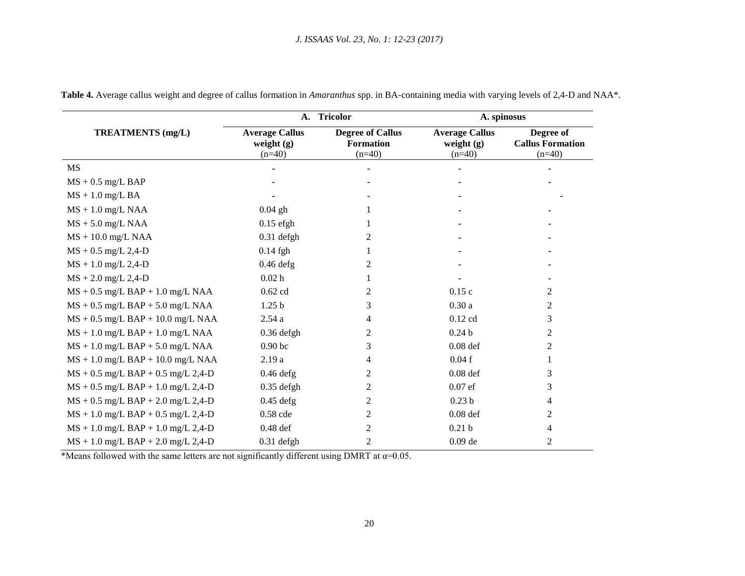|                                          |                                                   | A. Tricolor                                             | A. spinosus                                       |                                                  |  |
|------------------------------------------|---------------------------------------------------|---------------------------------------------------------|---------------------------------------------------|--------------------------------------------------|--|
| <b>TREATMENTS</b> (mg/L)                 | <b>Average Callus</b><br>weight $(g)$<br>$(n=40)$ | <b>Degree of Callus</b><br><b>Formation</b><br>$(n=40)$ | <b>Average Callus</b><br>weight $(g)$<br>$(n=40)$ | Degree of<br><b>Callus Formation</b><br>$(n=40)$ |  |
| MS                                       |                                                   |                                                         |                                                   |                                                  |  |
| $MS + 0.5$ mg/L BAP                      |                                                   |                                                         |                                                   |                                                  |  |
| $MS + 1.0$ mg/L BA                       |                                                   |                                                         |                                                   |                                                  |  |
| $MS + 1.0$ mg/L NAA                      | $0.04$ gh                                         |                                                         |                                                   |                                                  |  |
| $MS + 5.0$ mg/L NAA                      | $0.15$ efgh                                       |                                                         |                                                   |                                                  |  |
| $MS + 10.0$ mg/L NAA                     | $0.31$ defgh                                      | 2                                                       |                                                   |                                                  |  |
| $MS + 0.5$ mg/L 2,4-D                    | $0.14$ fgh                                        |                                                         |                                                   |                                                  |  |
| $MS + 1.0$ mg/L 2,4-D                    | $0.46$ defg                                       | 2                                                       |                                                   |                                                  |  |
| $MS + 2.0$ mg/L 2,4-D                    | 0.02 <sub>h</sub>                                 |                                                         |                                                   |                                                  |  |
| $MS + 0.5$ mg/L BAP + 1.0 mg/L NAA       | $0.62$ cd                                         | 2                                                       | 0.15c                                             | 2                                                |  |
| $MS + 0.5$ mg/L BAP + 5.0 mg/L NAA       | 1.25 <sub>b</sub>                                 | 3                                                       | 0.30a                                             | 2                                                |  |
| $MS + 0.5$ mg/L BAP + 10.0 mg/L NAA      | 2.54a                                             | 4                                                       | $0.12$ cd                                         | 3                                                |  |
| $MS + 1.0$ mg/L BAP + 1.0 mg/L NAA       | $0.36$ defgh                                      | 2                                                       | 0.24 <sub>b</sub>                                 | 2                                                |  |
| $MS + 1.0$ mg/L BAP + 5.0 mg/L NAA       | 0.90 <sub>bc</sub>                                | 3                                                       | $0.08$ def                                        | 2                                                |  |
| $MS + 1.0$ mg/L BAP + 10.0 mg/L NAA      | 2.19a                                             | 4                                                       | 0.04f                                             |                                                  |  |
| $MS + 0.5$ mg/L BAP + 0.5 mg/L 2,4-D     | $0.46$ defg                                       | 2                                                       | $0.08$ def                                        | 3                                                |  |
| $MS + 0.5$ mg/L BAP + 1.0 mg/L 2,4-D     | $0.35$ defgh                                      | 2                                                       | $0.07$ ef                                         | 3                                                |  |
| $MS + 0.5$ mg/L BAP + 2.0 mg/L 2,4-D     | $0.45$ defg                                       | 2                                                       | 0.23 <sub>b</sub>                                 | 4                                                |  |
| $MS + 1.0$ mg/L BAP + 0.5 mg/L 2,4-D     | $0.58$ cde                                        | 2                                                       | $0.08$ def                                        | 2                                                |  |
| $MS + 1.0$ mg/L $BAP + 1.0$ mg/L $2,4-D$ | $0.48$ def                                        | 2                                                       | 0.21 <sub>b</sub>                                 | 4                                                |  |
| $MS + 1.0$ mg/L BAP + 2.0 mg/L 2,4-D     | $0.31$ defgh                                      | 2                                                       | $0.09$ de                                         | 2                                                |  |

**Table 4.** Average callus weight and degree of callus formation in *Amaranthus* spp. in BA-containing media with varying levels of 2,4-D and NAA\*.

\*Means followed with the same letters are not significantly different using DMRT at  $\alpha$ =0.05.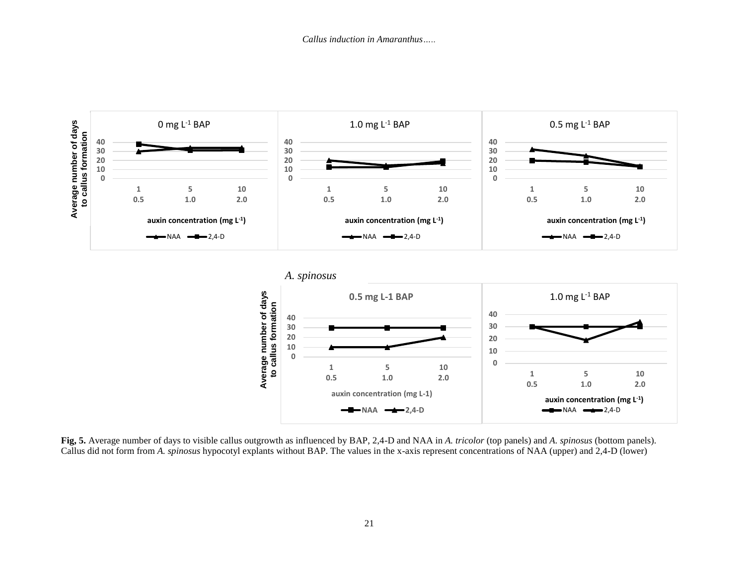



**Fig, 5.** Average number of days to visible callus outgrowth as influenced by BAP, 2,4-D and NAA in *A. tricolor* (top panels) and *A. spinosus* (bottom panels). Callus did not form from *A. spinosus* hypocotyl explants without BAP. The values in the x-axis represent concentrations of NAA (upper) and 2,4-D (lower)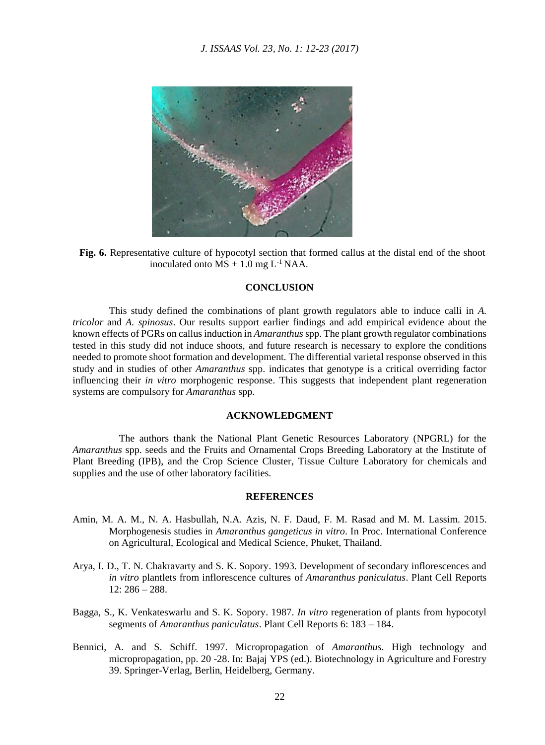



# **CONCLUSION**

This study defined the combinations of plant growth regulators able to induce calli in *A. tricolor* and *A. spinosus*. Our results support earlier findings and add empirical evidence about the known effects of PGRs on callus induction in *Amaranthus* spp. The plant growth regulator combinations tested in this study did not induce shoots, and future research is necessary to explore the conditions needed to promote shoot formation and development. The differential varietal response observed in this study and in studies of other *Amaranthus* spp. indicates that genotype is a critical overriding factor influencing their *in vitro* morphogenic response. This suggests that independent plant regeneration systems are compulsory for *Amaranthus* spp.

# **ACKNOWLEDGMENT**

 The authors thank the National Plant Genetic Resources Laboratory (NPGRL) for the *Amaranthus* spp. seeds and the Fruits and Ornamental Crops Breeding Laboratory at the Institute of Plant Breeding (IPB), and the Crop Science Cluster, Tissue Culture Laboratory for chemicals and supplies and the use of other laboratory facilities.

#### **REFERENCES**

- Amin, M. A. M., N. A. Hasbullah, N.A. Azis, N. F. Daud, F. M. Rasad and M. M. Lassim. 2015. Morphogenesis studies in *Amaranthus gangeticus in vitro*. In Proc. International Conference on Agricultural, Ecological and Medical Science, Phuket, Thailand.
- Arya, I. D., T. N. Chakravarty and S. K. Sopory. 1993. Development of secondary inflorescences and *in vitro* plantlets from inflorescence cultures of *Amaranthus paniculatus*. Plant Cell Reports 12: 286 – 288.
- Bagga, S., K. Venkateswarlu and S. K. Sopory. 1987. *In vitro* regeneration of plants from hypocotyl segments of *Amaranthus paniculatus*. Plant Cell Reports 6: 183 – 184.
- Bennici, A. and S. Schiff. 1997. Micropropagation of *Amaranthus*. High technology and micropropagation, pp. 20 -28. In: Bajaj YPS (ed.). Biotechnology in Agriculture and Forestry 39. Springer-Verlag, Berlin, Heidelberg, Germany.